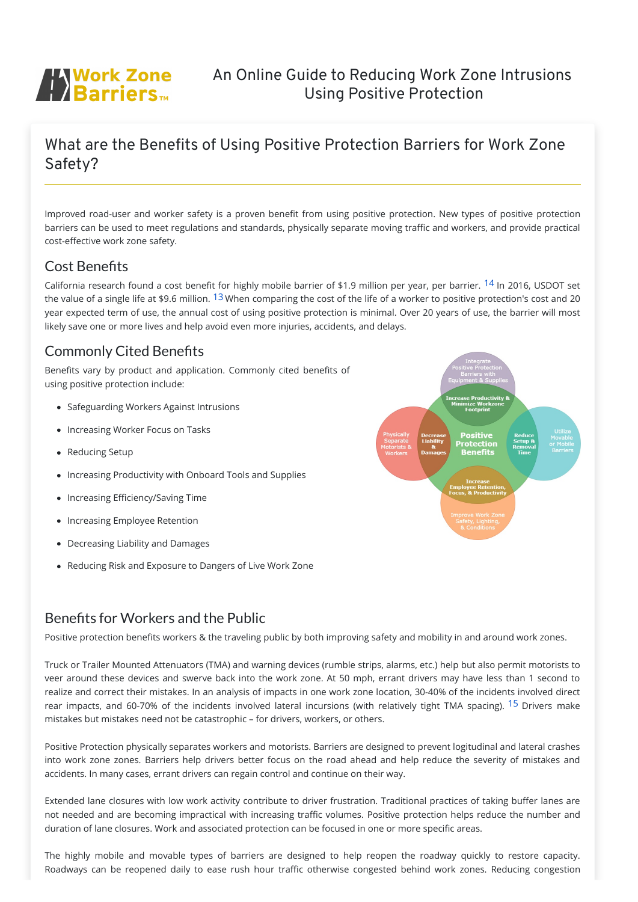

# An Online Guide to Reducing Work Zone Intrusions Using Positive Protection

# What are the Benefits of Using Positive Protection Barriers for Work Zone Safety?

Improved road-user and worker safety is a proven benefit from using positive protection. New types of positive protection barriers can be used to meet regulations and standards, physically separate moving traffic and workers, and provide practical cost-effective work zone safety.

## Cost Benefits

California research found a cost benefit for highly mobile barrier of \$1.9 million per year, per barrier. <sup>[14](javascript:;)</sup> In 2016, USDOT set the value of a single life at \$9.6 million. <sup>[13](javascript:;)</sup> When comparing the cost of the life of a worker to positive protection's cost and 20 year expected term of use, the annual cost of using positive protection is minimal. Over 20 years of use, the barrier will most likely save one or more lives and help avoid even more injuries, accidents, and delays.

## Benefits for Workers and the Public

Positive protection benefits workers & the traveling public by both improving safety and mobility in and around work zones.

Truck or Trailer Mounted Attenuators (TMA) and warning devices (rumble strips, alarms, etc.) help but also permit motorists to veer around these devices and swerve back into the work zone. At 50 mph, errant drivers may have less than 1 second to realize and correct their mistakes. In an analysis of impacts in one work zone location, 30-40% of the incidents involved direct rear impacts, and 60-70% of the incidents involved lateral incursions (with relatively tight TMA spacing). <sup>[15](javascript:;)</sup> Drivers make mistakes but mistakes need not be catastrophic – for drivers, workers, or others.



Positive Protection physically separates workers and motorists. Barriers are designed to prevent logitudinal and lateral crashes into work zone zones. Barriers help drivers better focus on the road ahead and help reduce the severity of mistakes and accidents. In many cases, errant drivers can regain control and continue on their way.

Extended lane closures with low work activity contribute to driver frustration. Traditional practices of taking buffer lanes are not needed and are becoming impractical with increasing traffic volumes. Positive protection helps reduce the number and duration of lane closures. Work and associated protection can be focused in one or more specific areas.

The highly mobile and movable types of barriers are designed to help reopen the roadway quickly to restore capacity. Roadways can be reopened daily to ease rush hour traffic otherwise congested behind work zones. Reducing congestion

# Commonly Cited Benefits

Benefits vary by product and application. Commonly cited benefits of using positive protection include:

- Safeguarding Workers Against Intrusions
- Increasing Worker Focus on Tasks
- Reducing Setup
- Increasing Productivity with Onboard Tools and Supplies
- Increasing Efficiency/Saving Time
- Increasing Employee Retention
- Decreasing Liability and Damages
- Reducing Risk and Exposure to Dangers of Live Work Zone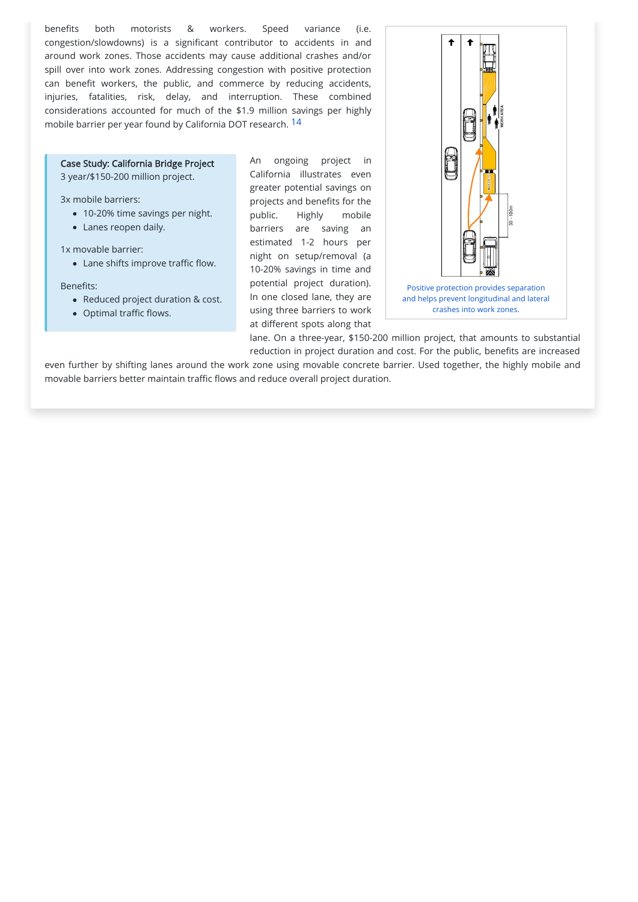

- 10-20% time savings per night.
- Lanes reopen daily.

### Case Study: California Bridge Project

3 year/\$150-200 million project.

3x mobile barriers:

1x movable barrier:

Lane shifts improve traffic flow.

Benefits:

- Reduced project duration & cost.
- Optimal traffic flows.

benefits both motorists & workers. Speed variance (i.e. congestion/slowdowns) is a significant contributor to accidents in and around work zones. Those accidents may cause additional crashes and/or spill over into work zones. Addressing congestion with positive protection can benefit workers, the public, and commerce by reducing accidents, injuries, fatalities, risk, delay, and interruption. These combined considerations accounted for much of the \$1.9 million savings per highly mobile barrier per year found by California DOT research. [14](javascript:;)

> An ongoing project in California illustrates even greater potential savings on projects and benefits for the public. Highly mobile barriers are saving an estimated 1-2 hours per night on setup/removal (a 10-20% savings in time and potential project duration). In one closed lane, they are using three barriers to work at different spots along that

lane. On a three-year, \$150-200 million project, that amounts to substantial reduction in project duration and cost. For the public, benefits are increased

even further by shifting lanes around the work zone using movable concrete barrier. Used together, the highly mobile and movable barriers better maintain traffic flows and reduce overall project duration.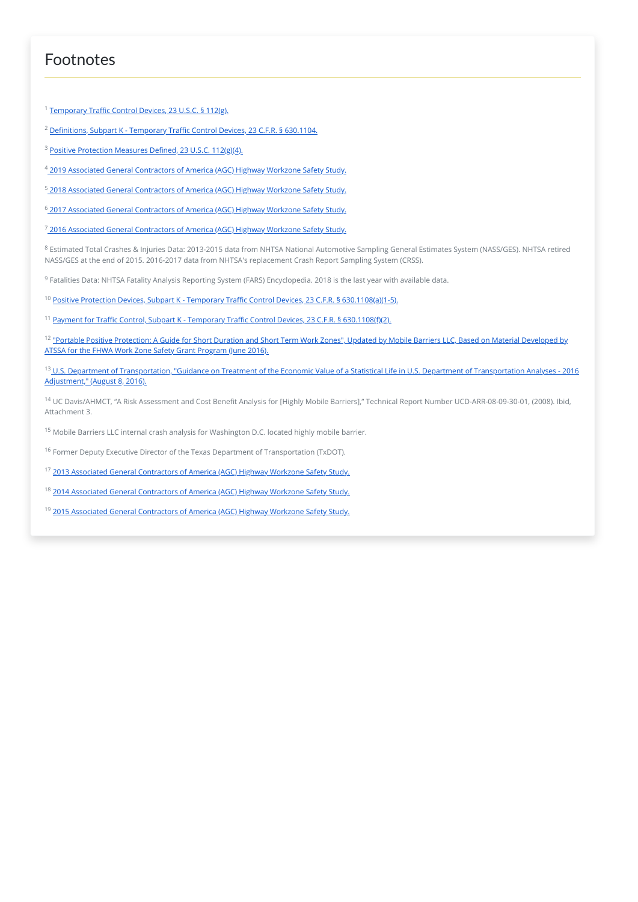## Footnotes

<sup>1</sup> Temporary [Traffic Control](https://www.law.cornell.edu/uscode/text/23/112) Devices, 23 U.S.C. § 112(g).

- <sup>2</sup> Definitions, Subpart K Temporary [Traffic Control](https://www.law.cornell.edu/cfr/text/23/630.1104) Devices, 23 C.F.R. § 630.1104.
- <sup>3</sup> Positive Protection Measures Defined, 23 U.S.C. 112(g<u>)(4).</u>
- <sup>4</sup> 2019 [Associated General](https://www.agc.org/news/2019/05/23/2019-highway-work-zone-safety-survey) Contractors of America <u>(</u>AGC) Highway Workzone Safety Study.
- <sup>5</sup> 2018 [Associated General](https://www.agc.org/news/2018/05/23/2018-highway-work-zone-safety-survey) Contractors of America <u>(</u>AGC) Highwa<u>y</u> Workzone Safety Study.
- <sup>6</sup> 2017 [Associated General](https://www.agc.org/news/2017/05/25/2017-highway-work-zone-safety-survey) Contractors of America <u>(</u>AGC) Highwa<u>y</u> Workzone Safety Study.

<sup>7</sup> 2016 [Associated General](https://www.agc.org/news/2016/05/24/2016-work-zone-safety-survey) Contractors of America <u>(</u>AGC) Highway Workzone Safety Study.

 $^8$  Estimated Total Crashes & Injuries Data: 2013-2015 data from NHTSA National Automotive Sampling General Estimates System (NASS/GES). NHTSA retired NASS/GES at the end of 2015. 2016-2017 data from NHTSA's replacement Crash Report Sampling System (CRSS).

 $^9$  Fatalities Data: NHTSA Fatality Analysis Reporting System (FARS) Encyclopedia. 2018 is the last year with available data.

- <sup>10</sup> Positive Protection Devices, Subpart K Temporary Traffic Control Devices, 23 C.F.R. § 630.1108(a<u>)(1-5).</u>
- <sup>11</sup> <u>Payment for [Traffic Control,](https://www.law.cornell.edu/cfr/text/23/630.1108) Subpart K Temporary Traffic Control Devices, 23 C.F.R. § 630.1108(f<u>)(2).</u></u>
- <sup>12</sup> <u>"Portable Positive Protection: A Guide for Short Duration and Short [Term Work Zones",](https://www.mobilebarriers.com/media/docs/Portable%20Positive%20Protection%20-%20A%20Guide%20for%20Short%20Duration%20and%20Short%20Term%20Work%20Zones%20Based%20on%20Material%20Developed%20by%20ATSSA%20for%20the%20FHWA%20Work%20Zone%20Safety%20Grant%20Program.pdf) Updated by Mobile Barriers LLC, Based on Material Developed by</u> ATSSA for the FHWA Work Zone Safety Grant Program (June 2016).
- <sup>13</sup> [U.S. Department](https://www.transportation.gov/sites/dot.gov/files/docs/2016%20Revised%20Value%20of%20a%20Statistical%20Life%20Guidance.pdf) of Transportation, "Guidance on Treatment of the Economic Value of a Statistical Life in U.S. Department of Transportation Analyses 2016 Adjustment," (August 8, 2016).
- <sup>14</sup> UC Davis/AHMCT, "A Risk Assessment and Cost Benefit Analysis for [Highly Mobile Barriers]," Technical Report Number UCD-ARR-08-09-30-01, (2008). Ibid, Attachment 3.
- <sup>15</sup> Mobile Barriers LLC internal crash analysis for Washington D.C. located highly mobile barrier.
- $^{16}$  Former Deputy Executive Director of the Texas Department of Transportation (TxDOT).
- <sup>17</sup> 2013 [Associated General](file:///C:/Users/taylo/Dropbox/Website_PositiveProtection/media/docs/2013_Work_Zone_Survey-National.pdf) Contractors of America <u>(</u>AGC) Highwa<u>y Workzone Safety Study.</u>
- <sup>18</sup> 2014 [Associated General](file:///C:/Users/taylo/Dropbox/Website_PositiveProtection/media/docs/2014_Work_Zone_Survey-National.pdf) Contractors of America <u>(</u>AGC) Highwa<u>y Workzone Safety Study.</u>
- <sup>19</sup> 2015 [Associated General](file:///C:/Users/taylo/Dropbox/Website_PositiveProtection/media/docs/2015_Work_Zone_Survey-National.pdf) Contractors of America <u>(</u>AGC) Highwa<u>y Workzone Safety Study.</u>